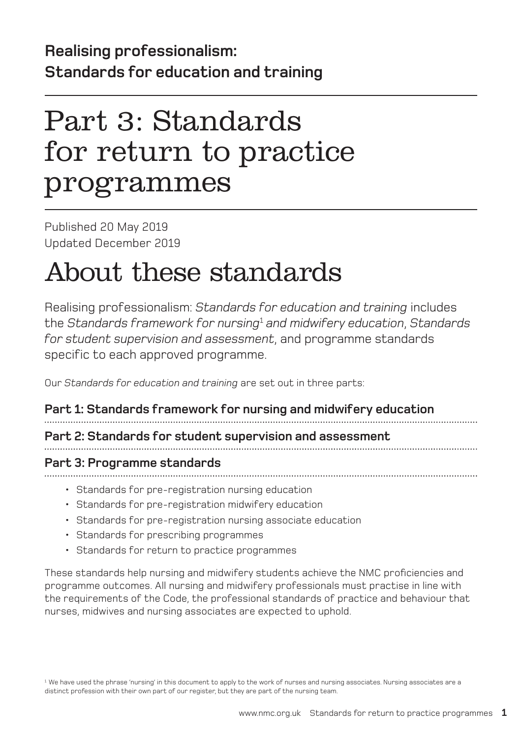### **Realising professionalism: Standards for education and training**

### Part 3: Standards for return to practice programmes

Published 20 May 2019 Updated December 2019

### About these standards

Realising professionalism: *Standards for education and training* includes the *Standards framework for nursing*<sup>1</sup>  *and midwifery education*, *Standards for student supervision and assessment*, and programme standards specific to each approved programme.

Our *Standards for education and training* are set out in three parts:

### **Part 1: Standards framework for nursing and midwifery education**

### **Part 2: Standards for student supervision and assessment**

#### **Part 3: Programme standards**

- Standards for pre-registration nursing education
- Standards for pre-registration midwifery education
- Standards for pre-registration nursing associate education
- Standards for prescribing programmes
- Standards for return to practice programmes

These standards help nursing and midwifery students achieve the NMC proficiencies and programme outcomes. All nursing and midwifery professionals must practise in line with the requirements of the Code, the professional standards of practice and behaviour that nurses, midwives and nursing associates are expected to uphold.

1 We have used the phrase 'nursing' in this document to apply to the work of nurses and nursing associates. Nursing associates are a distinct profession with their own part of our register, but they are part of the nursing team.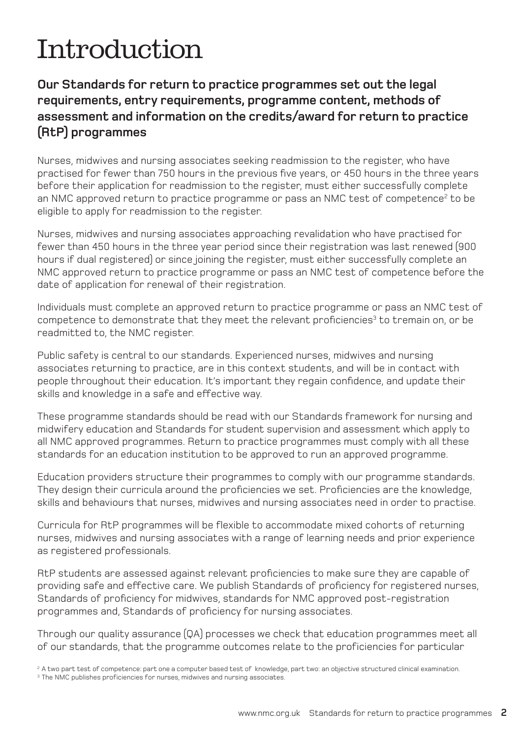# Introduction

### **Our Standards for return to practice programmes set out the legal requirements, entry requirements, programme content, methods of assessment and information on the credits/award for return to practice (RtP) programmes**

Nurses, midwives and nursing associates seeking readmission to the register, who have practised for fewer than 750 hours in the previous five years, or 450 hours in the three years before their application for readmission to the register, must either successfully complete an NMC approved return to practice programme or pass an NMC test of competence<sup>2</sup> to be eligible to apply for readmission to the register.

Nurses, midwives and nursing associates approaching revalidation who have practised for fewer than 450 hours in the three year period since their registration was last renewed (900 hours if dual registered) or since joining the register, must either successfully complete an NMC approved return to practice programme or pass an NMC test of competence before the date of application for renewal of their registration.

Individuals must complete an approved return to practice programme or pass an NMC test of competence to demonstrate that they meet the relevant proficiencies<sup>3</sup> to tremain on, or be readmitted to, the NMC register.

Public safety is central to our standards. Experienced nurses, midwives and nursing associates returning to practice, are in this context students, and will be in contact with people throughout their education. It's important they regain confidence, and update their skills and knowledge in a safe and effective way.

These programme standards should be read with our Standards framework for nursing and midwifery education and Standards for student supervision and assessment which apply to all NMC approved programmes. Return to practice programmes must comply with all these standards for an education institution to be approved to run an approved programme.

Education providers structure their programmes to comply with our programme standards. They design their curricula around the proficiencies we set. Proficiencies are the knowledge, skills and behaviours that nurses, midwives and nursing associates need in order to practise.

Curricula for RtP programmes will be flexible to accommodate mixed cohorts of returning nurses, midwives and nursing associates with a range of learning needs and prior experience as registered professionals.

RtP students are assessed against relevant proficiencies to make sure they are capable of providing safe and effective care. We publish Standards of proficiency for registered nurses, Standards of proficiency for midwives, standards for NMC approved post-registration programmes and, Standards of proficiency for nursing associates.

Through our quality assurance (QA) processes we check that education programmes meet all of our standards, that the programme outcomes relate to the proficiencies for particular

<sup>&</sup>lt;sup>2</sup> A two part test of competence: part one a computer based test of knowledge, part two: an objective structured clinical examination.

<sup>&</sup>lt;sup>3</sup> The NMC publishes proficiencies for nurses, midwives and nursing associates.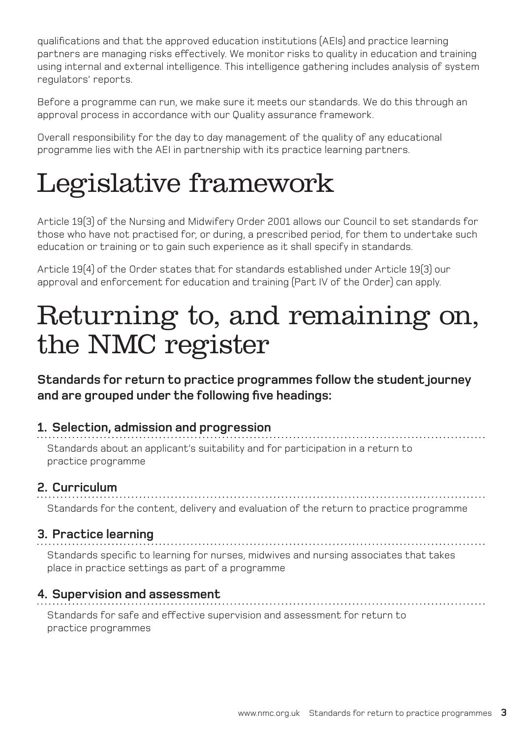qualifications and that the approved education institutions (AEIs) and practice learning partners are managing risks effectively. We monitor risks to quality in education and training using internal and external intelligence. This intelligence gathering includes analysis of system regulators' reports.

Before a programme can run, we make sure it meets our standards. We do this through an approval process in accordance with our Quality assurance framework.

Overall responsibility for the day to day management of the quality of any educational programme lies with the AEI in partnership with its practice learning partners.

# Legislative framework

Article 19(3) of the Nursing and Midwifery Order 2001 allows our Council to set standards for those who have not practised for, or during, a prescribed period, for them to undertake such education or training or to gain such experience as it shall specify in standards.

Article 19(4) of the Order states that for standards established under Article 19(3) our approval and enforcement for education and training (Part IV of the Order) can apply.

### Returning to, and remaining on, the NMC register

**Standards for return to practice programmes follow the student journey and are grouped under the following five headings:**

### **1. Selection, admission and progression**

Standards about an applicant's suitability and for participation in a return to practice programme

### **2. Curriculum**

Standards for the content, delivery and evaluation of the return to practice programme

### **3. Practice learning**

Standards specific to learning for nurses, midwives and nursing associates that takes place in practice settings as part of a programme

. . . . . . . . . . . . . . . .

### **4. Supervision and assessment**

Standards for safe and effective supervision and assessment for return to practice programmes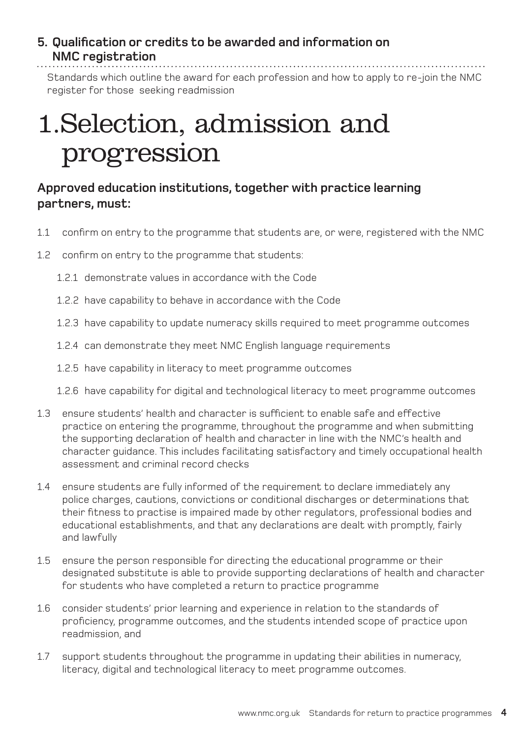#### **5. Qualification or credits to be awarded and information on NMC registration**

Standards which outline the award for each profession and how to apply to re-join the NMC register for those seeking readmission

### 1.Selection, admission and progression

### **Approved education institutions, together with practice learning partners, must:**

- 1.1 confirm on entry to the programme that students are, or were, registered with the NMC
- 1.2 confirm on entry to the programme that students:
	- 1.2.1 demonstrate values in accordance with the Code
	- 1.2.2 have capability to behave in accordance with the Code
	- 1.2.3 have capability to update numeracy skills required to meet programme outcomes
	- 1.2.4 can demonstrate they meet NMC English language requirements
	- 1.2.5 have capability in literacy to meet programme outcomes
	- 1.2.6 have capability for digital and technological literacy to meet programme outcomes
- 1.3 ensure students' health and character is sufficient to enable safe and effective practice on entering the programme, throughout the programme and when submitting the supporting declaration of health and character in line with the NMC's health and character guidance. This includes facilitating satisfactory and timely occupational health assessment and criminal record checks
- 1.4 ensure students are fully informed of the requirement to declare immediately any police charges, cautions, convictions or conditional discharges or determinations that their fitness to practise is impaired made by other regulators, professional bodies and educational establishments, and that any declarations are dealt with promptly, fairly and lawfully
- 1.5 ensure the person responsible for directing the educational programme or their designated substitute is able to provide supporting declarations of health and character for students who have completed a return to practice programme
- 1.6 consider students' prior learning and experience in relation to the standards of proficiency, programme outcomes, and the students intended scope of practice upon readmission, and
- 1.7 support students throughout the programme in updating their abilities in numeracy, literacy, digital and technological literacy to meet programme outcomes.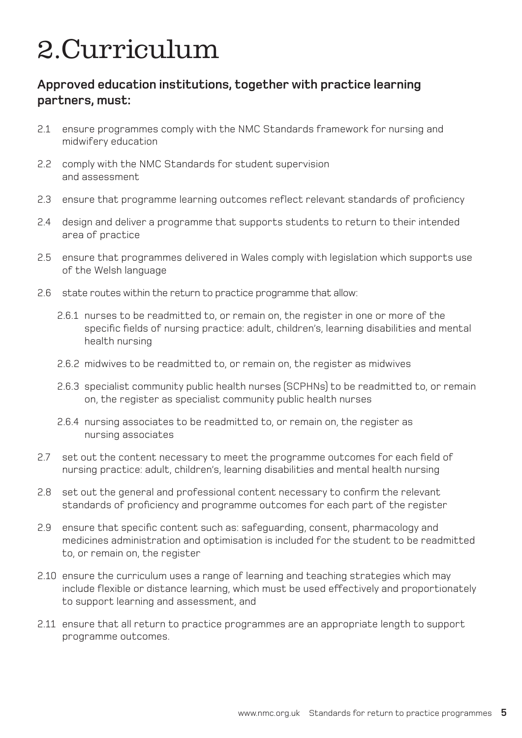### 2.Curriculum

#### **Approved education institutions, together with practice learning partners, must:**

- 2.1 ensure programmes comply with the NMC Standards framework for nursing and midwifery education
- 2.2 comply with the NMC Standards for student supervision and assessment
- 2.3 ensure that programme learning outcomes reflect relevant standards of proficiency
- 2.4 design and deliver a programme that supports students to return to their intended area of practice
- 2.5 ensure that programmes delivered in Wales comply with legislation which supports use of the Welsh language
- 2.6 state routes within the return to practice programme that allow:
	- 2.6.1 nurses to be readmitted to, or remain on, the register in one or more of the specific fields of nursing practice: adult, children's, learning disabilities and mental health nursing
	- 2.6.2 midwives to be readmitted to, or remain on, the register as midwives
	- 2.6.3 specialist community public health nurses (SCPHNs) to be readmitted to, or remain on, the register as specialist community public health nurses
	- 2.6.4 nursing associates to be readmitted to, or remain on, the register as nursing associates
- 2.7 set out the content necessary to meet the programme outcomes for each field of nursing practice: adult, children's, learning disabilities and mental health nursing
- 2.8 set out the general and professional content necessary to confirm the relevant standards of proficiency and programme outcomes for each part of the register
- 2.9 ensure that specific content such as: safeguarding, consent, pharmacology and medicines administration and optimisation is included for the student to be readmitted to, or remain on, the register
- 2.10 ensure the curriculum uses a range of learning and teaching strategies which may include flexible or distance learning, which must be used effectively and proportionately to support learning and assessment, and
- 2.11 ensure that all return to practice programmes are an appropriate length to support programme outcomes.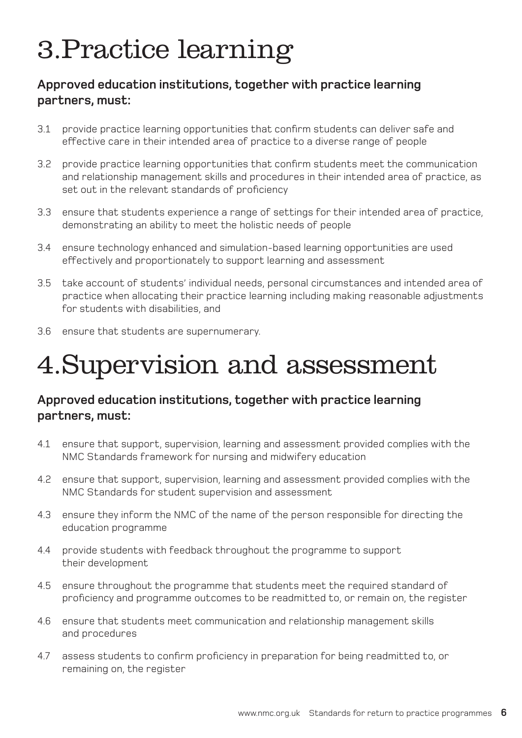# 3.Practice learning

#### **Approved education institutions, together with practice learning partners, must:**

- 3.1 provide practice learning opportunities that confirm students can deliver safe and effective care in their intended area of practice to a diverse range of people
- 3.2 provide practice learning opportunities that confirm students meet the communication and relationship management skills and procedures in their intended area of practice, as set out in the relevant standards of proficiency
- 3.3 ensure that students experience a range of settings for their intended area of practice, demonstrating an ability to meet the holistic needs of people
- 3.4 ensure technology enhanced and simulation-based learning opportunities are used effectively and proportionately to support learning and assessment
- 3.5 take account of students' individual needs, personal circumstances and intended area of practice when allocating their practice learning including making reasonable adjustments for students with disabilities, and
- 3.6 ensure that students are supernumerary.

### 4.Supervision and assessment

### **Approved education institutions, together with practice learning partners, must:**

- 4.1 ensure that support, supervision, learning and assessment provided complies with the NMC Standards framework for nursing and midwifery education
- 4.2 ensure that support, supervision, learning and assessment provided complies with the NMC Standards for student supervision and assessment
- 4.3 ensure they inform the NMC of the name of the person responsible for directing the education programme
- 4.4 provide students with feedback throughout the programme to support their development
- 4.5 ensure throughout the programme that students meet the required standard of proficiency and programme outcomes to be readmitted to, or remain on, the register
- 4.6 ensure that students meet communication and relationship management skills and procedures
- 4.7 assess students to confirm proficiency in preparation for being readmitted to, or remaining on, the register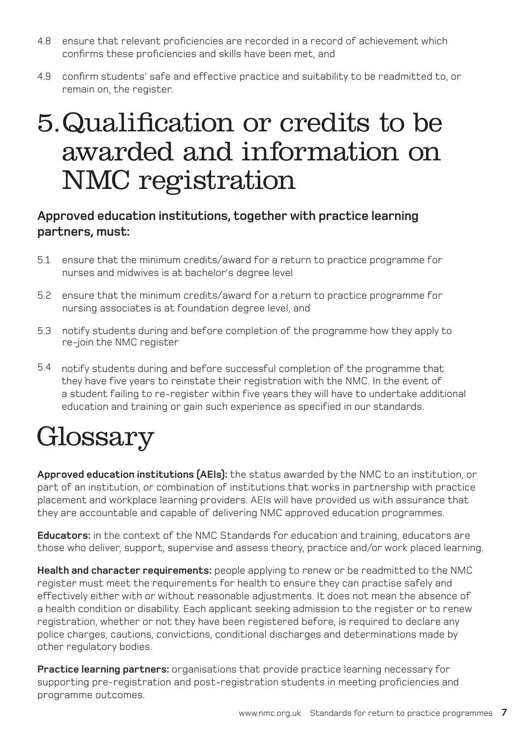- 4.8 ensure that relevant proficiencies are recorded in a record of achievement which confirms these proficiencies and skills have been met, and
- 4.9 confirm students' safe and effective practice and suitability to be readmitted to, or remain on, the register.

### 5.Qualification or credits to be awarded and information on NMC registration

### **Approved education institutions, together with practice learning partners, must:**

- 5.1 ensure that the minimum credits/award for a return to practice programme for nurses and midwives is at bachelor's degree level
- 5.2 ensure that the minimum credits/award for a return to practice programme for nursing associates is at foundation degree level, and
- 5.3 notify students during and before completion of the programme how they apply to re-join the NMC register
- 5.4 notify students during and before successful completion of the programme that they have five years to reinstate their registration with the NMC. In the event of a student failing to re-register within five years they will have to undertake additional education and training or gain such experience as specified in our standards.

# Glossary

**Approved education institutions (AEIs):** the status awarded by the NMC to an institution, or part of an institution, or combination of institutions that works in partnership with practice placement and workplace learning providers. AEIs will have provided us with assurance that they are accountable and capable of delivering NMC approved education programmes.

**Educators:** in the context of the NMC Standards for education and training, educators are those who deliver, support, supervise and assess theory, practice and/or work placed learning.

**Health and character requirements:** people applying to renew or be readmitted to the NMC register must meet the requirements for health to ensure they can practise safely and effectively either with or without reasonable adjustments. It does not mean the absence of a health condition or disability. Each applicant seeking admission to the register or to renew registration, whether or not they have been registered before, is required to declare any police charges, cautions, convictions, conditional discharges and determinations made by other regulatory bodies.

**Practice learning partners:** organisations that provide practice learning necessary for supporting pre-registration and post-registration students in meeting proficiencies and programme outcomes.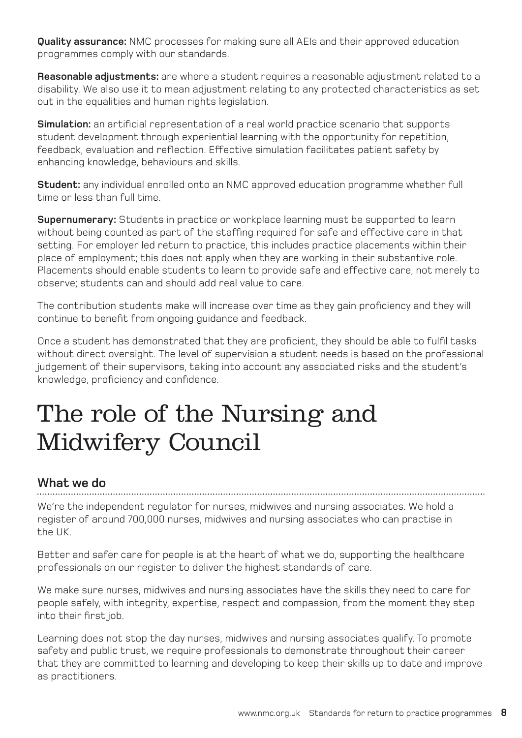**Quality assurance:** NMC processes for making sure all AEIs and their approved education programmes comply with our standards.

**Reasonable adjustments:** are where a student requires a reasonable adjustment related to a disability. We also use it to mean adjustment relating to any protected characteristics as set out in the equalities and human rights legislation.

**Simulation:** an artificial representation of a real world practice scenario that supports student development through experiential learning with the opportunity for repetition, feedback, evaluation and reflection. Effective simulation facilitates patient safety by enhancing knowledge, behaviours and skills.

**Student:** any individual enrolled onto an NMC approved education programme whether full time or less than full time.

**Supernumerary:** Students in practice or workplace learning must be supported to learn without being counted as part of the staffing required for safe and effective care in that setting. For employer led return to practice, this includes practice placements within their place of employment; this does not apply when they are working in their substantive role. Placements should enable students to learn to provide safe and effective care, not merely to observe; students can and should add real value to care.

The contribution students make will increase over time as they gain proficiency and they will continue to benefit from ongoing guidance and feedback.

Once a student has demonstrated that they are proficient, they should be able to fulfil tasks without direct oversight. The level of supervision a student needs is based on the professional judgement of their supervisors, taking into account any associated risks and the student's knowledge, proficiency and confidence.

### The role of the Nursing and Midwifery Council

#### **What we do**

We're the independent regulator for nurses, midwives and nursing associates. We hold a register of around 700,000 nurses, midwives and nursing associates who can practise in the UK.

Better and safer care for people is at the heart of what we do, supporting the healthcare professionals on our register to deliver the highest standards of care.

We make sure nurses, midwives and nursing associates have the skills they need to care for people safely, with integrity, expertise, respect and compassion, from the moment they step into their first job.

Learning does not stop the day nurses, midwives and nursing associates qualify. To promote safety and public trust, we require professionals to demonstrate throughout their career that they are committed to learning and developing to keep their skills up to date and improve as practitioners.